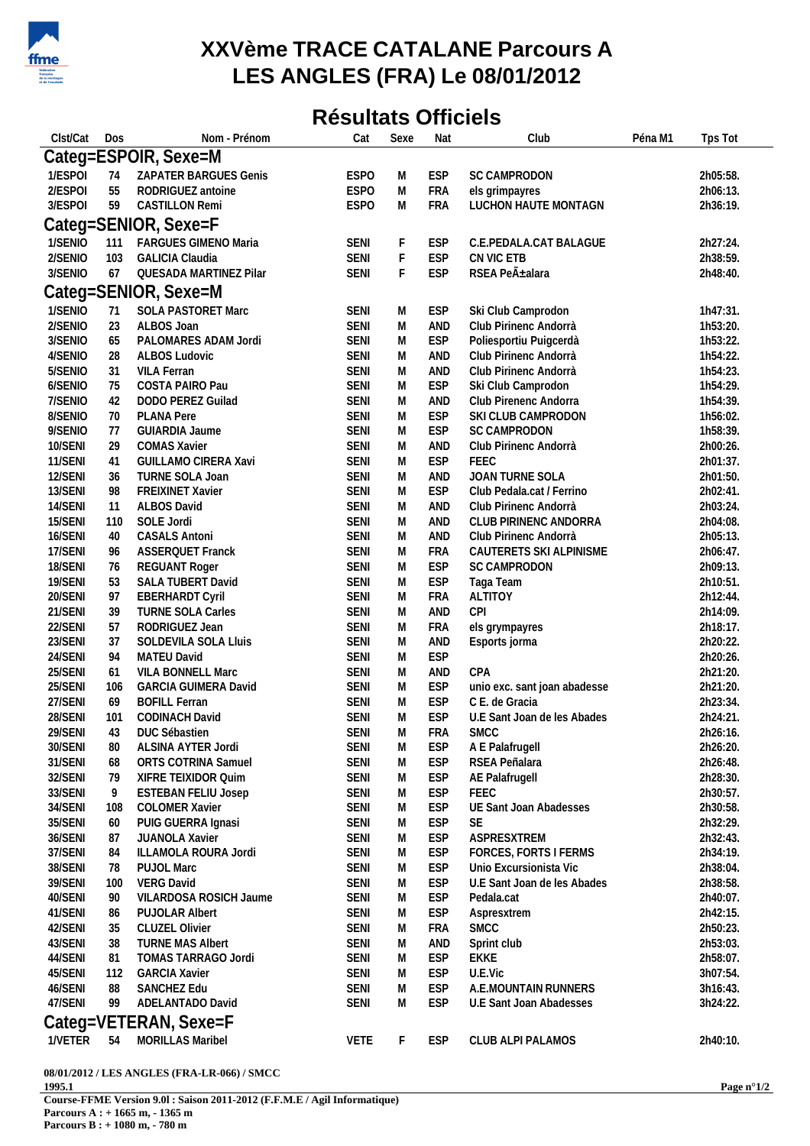

## **XXVème TRACE CATALANE Parcours A LES ANGLES (FRA) Le 08/01/2012**

## **Résultats Officiels**

| Clst/Cat | Dos | Nom - Prénom                | Cat         | Sexe        | Nat        | Club                         | Péna M1 | Tps Tot  |
|----------|-----|-----------------------------|-------------|-------------|------------|------------------------------|---------|----------|
|          |     | Categ=ESPOIR, Sexe=M        |             |             |            |                              |         |          |
| 1/ESPOI  | 74  | ZAPATER BARGUES Genis       | <b>ESPO</b> | M           | <b>ESP</b> | SC CAMPRODON                 |         | 2h05:58. |
| 2/ESPOI  | 55  | RODRIGUEZ antoine           | <b>ESPO</b> | M           | <b>FRA</b> | els grimpayres               |         | 2h06:13. |
| 3/ESPOI  | 59  | <b>CASTILLON Remi</b>       | <b>ESPO</b> | M           | <b>FRA</b> | LUCHON HAUTE MONTAGN         |         | 2h36:19. |
|          |     | Categ=SENIOR, Sexe=F        |             |             |            |                              |         |          |
|          |     |                             |             |             |            |                              |         |          |
| 1/SENIO  | 111 | FARGUES GIMENO Maria        | <b>SENI</b> | F           | <b>ESP</b> | C.E.PEDALA.CAT BALAGUE       |         | 2h27:24. |
| 2/SENIO  | 103 | <b>GALICIA Claudia</b>      | <b>SENI</b> | $\mathsf F$ | <b>ESP</b> | CN VIC ETB                   |         | 2h38:59. |
| 3/SENIO  | 67  | QUESADA MARTINEZ Pilar      | <b>SENI</b> | $\mathsf F$ | <b>ESP</b> | RSEA Peñalara                |         | 2h48:40. |
|          |     | Categ=SENIOR, Sexe=M        |             |             |            |                              |         |          |
| 1/SENIO  | 71  | SOLA PASTORET Marc          | <b>SENI</b> | M           | <b>ESP</b> | Ski Club Camprodon           |         | 1h47:31. |
| 2/SENIO  | 23  | ALBOS Joan                  | <b>SENI</b> | ${\sf M}$   | AND        | Club Pirinenc Andorrà        |         | 1h53:20. |
| 3/SENIO  | 65  | PALOMARES ADAM Jordi        | <b>SENI</b> | M           | <b>ESP</b> | Poliesportiu Puigcerdà       |         | 1h53:22. |
| 4/SENIO  | 28  | <b>ALBOS Ludovic</b>        | <b>SENI</b> | M           | AND        | Club Pirinenc Andorrà        |         | 1h54:22. |
| 5/SENIO  | 31  | VILA Ferran                 | <b>SENI</b> | M           | AND        | Club Pirinenc Andorrà        |         | 1h54:23. |
| 6/SENIO  | 75  | COSTA PAIRO Pau             | <b>SENI</b> | M           | <b>ESP</b> | Ski Club Camprodon           |         | 1h54:29. |
| 7/SENIO  | 42  | DODO PEREZ Guilad           | <b>SENI</b> | M           | AND        | Club Pirenenc Andorra        |         | 1h54:39. |
| 8/SENIO  | 70  | PLANA Pere                  | <b>SENI</b> | M           | <b>ESP</b> | SKI CLUB CAMPRODON           |         | 1h56:02. |
| 9/SENIO  | 77  | GUIARDIA Jaume              | <b>SENI</b> | M           | <b>ESP</b> | SC CAMPRODON                 |         | 1h58:39. |
| 10/SENI  | 29  | <b>COMAS Xavier</b>         | <b>SENI</b> | M           | AND        | Club Pirinenc Andorrà        |         | 2h00:26. |
| 11/SENI  | 41  | GUILLAMO CIRERA Xavi        | <b>SENI</b> | M           | <b>ESP</b> | FEEC                         |         | 2h01:37. |
| 12/SENI  | 36  | TURNE SOLA Joan             | <b>SENI</b> | M           | AND        | JOAN TURNE SOLA              |         | 2h01:50. |
| 13/SENI  | 98  | FREIXINET Xavier            | <b>SENI</b> | M           | <b>ESP</b> | Club Pedala.cat / Ferrino    |         | 2h02:41. |
| 14/SENI  | 11  | ALBOS David                 | <b>SENI</b> | M           | AND        | Club Pirinenc Andorrà        |         | 2h03:24. |
| 15/SENI  | 110 | SOLE Jordi                  | <b>SENI</b> | ${\sf M}$   | AND        | CLUB PIRINENC ANDORRA        |         | 2h04:08. |
| 16/SENI  | 40  | <b>CASALS Antoni</b>        | <b>SENI</b> | ${\sf M}$   | AND        | Club Pirinenc Andorrà        |         | 2h05:13. |
| 17/SENI  | 96  | <b>ASSERQUET Franck</b>     | <b>SENI</b> | M           | <b>FRA</b> | CAUTERETS SKI ALPINISME      |         | 2h06:47. |
| 18/SENI  | 76  | <b>REGUANT Roger</b>        | <b>SENI</b> | M           | <b>ESP</b> | SC CAMPRODON                 |         | 2h09:13. |
| 19/SENI  | 53  | SALA TUBERT David           | <b>SENI</b> | M           | <b>ESP</b> | Taga Team                    |         | 2h10:51. |
| 20/SENI  | 97  | <b>EBERHARDT Cyril</b>      | <b>SENI</b> | M           | <b>FRA</b> | <b>ALTITOY</b>               |         | 2h12:44. |
| 21/SENI  | 39  | TURNE SOLA Carles           | <b>SENI</b> | M           | AND        | CPI                          |         | 2h14:09. |
| 22/SENI  | 57  | RODRIGUEZ Jean              | <b>SENI</b> | M           | <b>FRA</b> | els grympayres               |         | 2h18:17. |
| 23/SENI  | 37  | SOLDEVILA SOLA Lluis        | <b>SENI</b> | M           | AND        | Esports jorma                |         | 2h20:22. |
| 24/SENI  | 94  | MATEU David                 | <b>SENI</b> | M           | <b>ESP</b> |                              |         | 2h20:26. |
| 25/SENI  | 61  | VILA BONNELL Marc           | <b>SENI</b> | M           | AND        | CPA                          |         | 2h21:20. |
| 25/SENI  | 106 | <b>GARCIA GUIMERA David</b> | <b>SENI</b> | M           | <b>ESP</b> | unio exc. sant joan abadesse |         | 2h21:20. |
| 27/SENI  | 69  | <b>BOFILL Ferran</b>        | <b>SENI</b> | M           | <b>ESP</b> | C E. de Gracia               |         | 2h23:34. |
| 28/SENI  | 101 | CODINACH David              | <b>SENI</b> | M           | <b>ESP</b> | U.E Sant Joan de les Abades  |         | 2h24:21. |
| 29/SENI  | 43  | DUC Sébastien               | <b>SENI</b> | M           | FRA        | <b>SMCC</b>                  |         | 2h26:16. |
| 30/SENI  | 80  | ALSINA AYTER Jordi          | <b>SENI</b> | M           | <b>ESP</b> | A E Palafrugell              |         | 2h26:20. |
| 31/SENI  | 68  | ORTS COTRINA Samuel         | <b>SENI</b> | M           | <b>ESP</b> | RSEA Peñalara                |         | 2h26:48. |
| 32/SENI  | 79  | XIFRE TEIXIDOR Quim         | <b>SENI</b> | M           | <b>ESP</b> | AE Palafrugell               |         | 2h28:30. |
| 33/SENI  | 9   | <b>ESTEBAN FELIU Josep</b>  | <b>SENI</b> | M           | <b>ESP</b> | FEEC                         |         | 2h30:57. |
| 34/SENI  | 108 | <b>COLOMER Xavier</b>       | <b>SENI</b> | M           | <b>ESP</b> | UE Sant Joan Abadesses       |         | 2h30:58. |
| 35/SENI  | 60  | PUIG GUERRA Ignasi          | <b>SENI</b> | M           | <b>ESP</b> | <b>SE</b>                    |         | 2h32:29. |
| 36/SENI  | 87  | JUANOLA Xavier              | <b>SENI</b> | M           | <b>ESP</b> | ASPRESXTREM                  |         | 2h32:43. |
| 37/SENI  | 84  | ILLAMOLA ROURA Jordi        | <b>SENI</b> | M           | <b>ESP</b> | FORCES, FORTS I FERMS        |         | 2h34:19. |
| 38/SENI  | 78  | <b>PUJOL Marc</b>           | <b>SENI</b> | M           | <b>ESP</b> | Unio Excursionista Vic       |         | 2h38:04. |
| 39/SENI  | 100 | <b>VERG David</b>           | <b>SENI</b> | M           | <b>ESP</b> | U.E Sant Joan de les Abades  |         | 2h38:58. |
| 40/SENI  | 90  | VILARDOSA ROSICH Jaume      | <b>SENI</b> | M           | <b>ESP</b> | Pedala.cat                   |         | 2h40:07. |
| 41/SENI  |     |                             |             |             |            |                              |         |          |
|          | 86  | PUJOLAR Albert              | <b>SENI</b> | M           | <b>ESP</b> | Aspresxtrem                  |         | 2h42:15. |
| 42/SENI  | 35  | <b>CLUZEL Olivier</b>       | <b>SENI</b> | M           | <b>FRA</b> | <b>SMCC</b>                  |         | 2h50:23. |
| 43/SENI  | 38  | <b>TURNE MAS Albert</b>     | <b>SENI</b> | M           | AND        | Sprint club                  |         | 2h53:03. |
| 44/SENI  | 81  | TOMAS TARRAGO Jordi         | <b>SENI</b> | M           | <b>ESP</b> | EKKE                         |         | 2h58:07. |
| 45/SENI  | 112 | <b>GARCIA Xavier</b>        | <b>SENI</b> | M           | <b>ESP</b> | U.E.Vic                      |         | 3h07:54. |
| 46/SENI  | 88  | SANCHEZ Edu                 | <b>SENI</b> | M           | <b>ESP</b> | A.E.MOUNTAIN RUNNERS         |         | 3h16:43. |
| 47/SENI  | 99  | ADELANTADO David            | <b>SENI</b> | M           | <b>ESP</b> | U.E Sant Joan Abadesses      |         | 3h24:22. |
|          |     | Categ=VETERAN, Sexe=F       |             |             |            |                              |         |          |
| 1/VETER  | 54  | MORILLAS Maribel            | <b>VETE</b> | F           | <b>ESP</b> | CLUB ALPI PALAMOS            |         | 2h40:10. |
|          |     |                             |             |             |            |                              |         |          |

**08/01/2012 / LES ANGLES (FRA-LR-066) / SMCC 1995.1 Course-FFME Version 9.0l : Saison 2011-2012 (F.F.M.E / Agil Informatique) Parcours A : + 1665 m, - 1365 m**